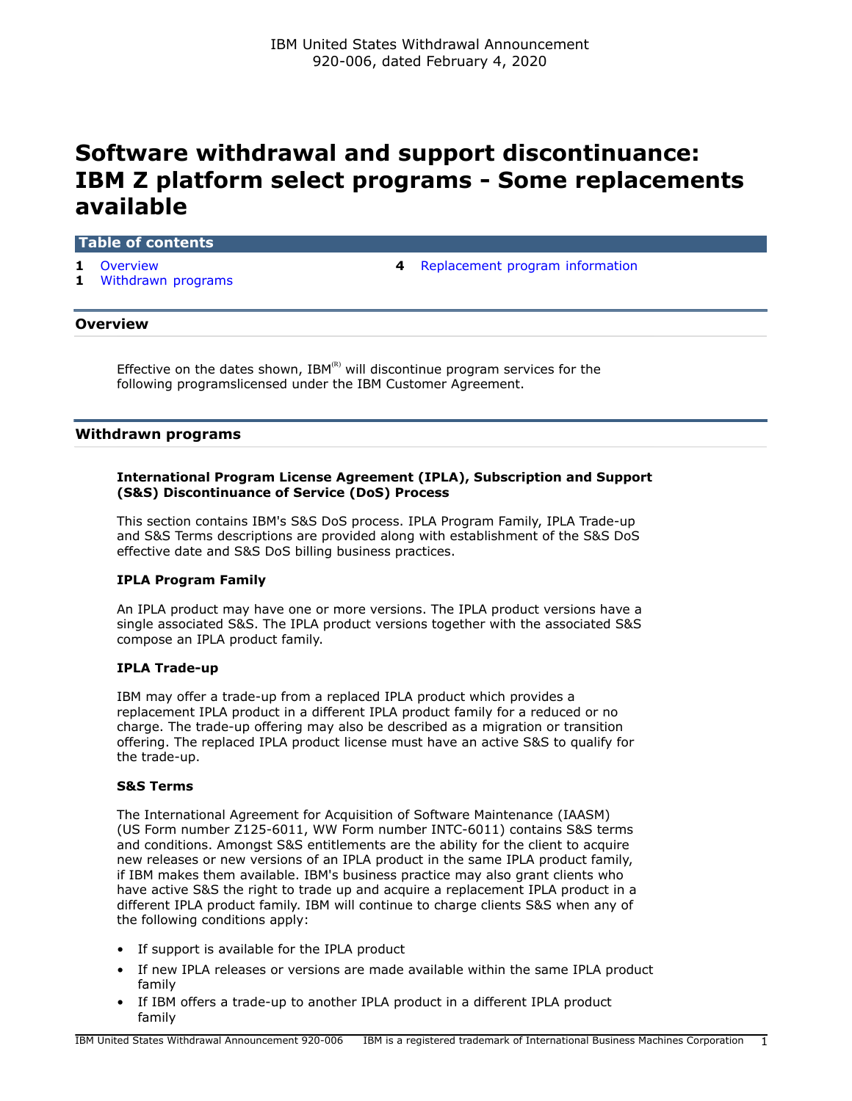# **Software withdrawal and support discontinuance: IBM Z platform select programs - Some replacements available**

# **Table of contents**

- 
- **1** [Withdrawn programs](#page-0-1)
- **1** [Overview](#page-0-0) **4** [Replacement program information](#page-3-0)

# <span id="page-0-0"></span>**Overview**

Effective on the dates shown,  $IBM^{(R)}$  will discontinue program services for the following programslicensed under the IBM Customer Agreement.

# <span id="page-0-1"></span>**Withdrawn programs**

# **International Program License Agreement (IPLA), Subscription and Support (S&S) Discontinuance of Service (DoS) Process**

This section contains IBM's S&S DoS process. IPLA Program Family, IPLA Trade-up and S&S Terms descriptions are provided along with establishment of the S&S DoS effective date and S&S DoS billing business practices.

# **IPLA Program Family**

An IPLA product may have one or more versions. The IPLA product versions have a single associated S&S. The IPLA product versions together with the associated S&S compose an IPLA product family.

#### **IPLA Trade-up**

IBM may offer a trade-up from a replaced IPLA product which provides a replacement IPLA product in a different IPLA product family for a reduced or no charge. The trade-up offering may also be described as a migration or transition offering. The replaced IPLA product license must have an active S&S to qualify for the trade-up.

#### **S&S Terms**

The International Agreement for Acquisition of Software Maintenance (IAASM) (US Form number Z125-6011, WW Form number INTC-6011) contains S&S terms and conditions. Amongst S&S entitlements are the ability for the client to acquire new releases or new versions of an IPLA product in the same IPLA product family, if IBM makes them available. IBM's business practice may also grant clients who have active S&S the right to trade up and acquire a replacement IPLA product in a different IPLA product family. IBM will continue to charge clients S&S when any of the following conditions apply:

- If support is available for the IPLA product
- If new IPLA releases or versions are made available within the same IPLA product family
- If IBM offers a trade-up to another IPLA product in a different IPLA product family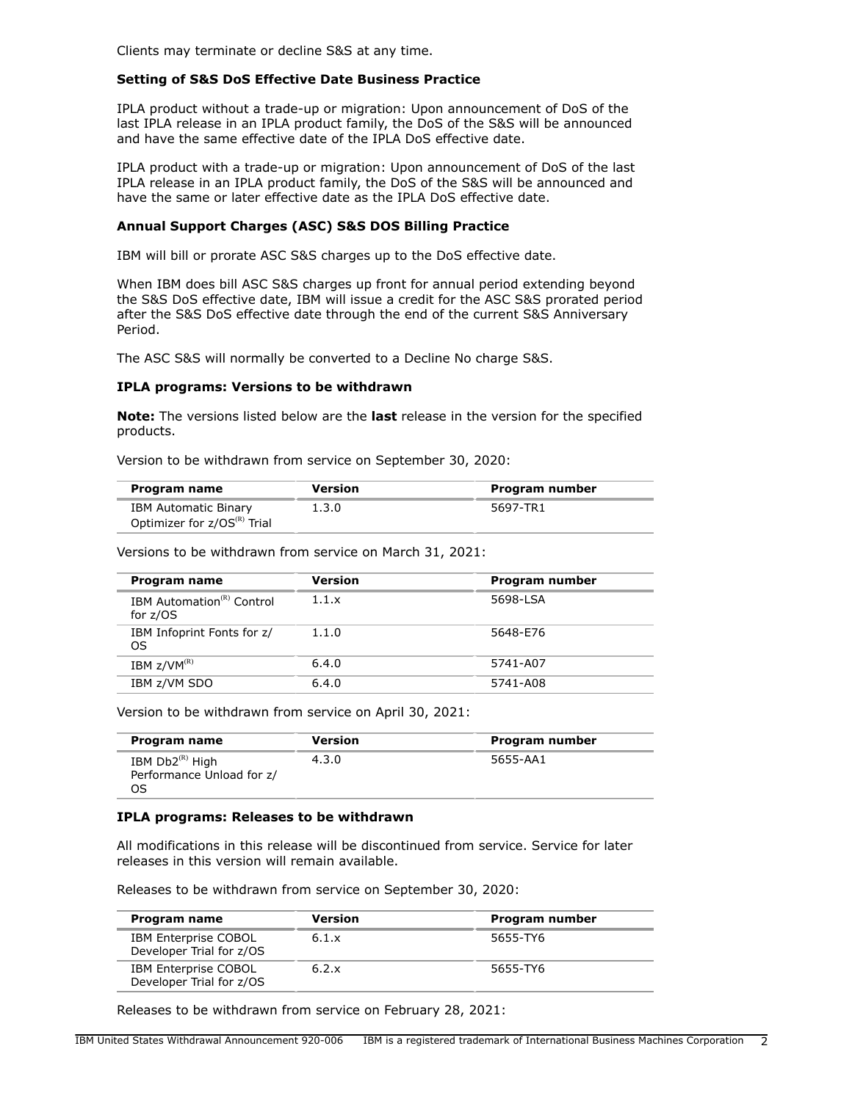Clients may terminate or decline S&S at any time.

# **Setting of S&S DoS Effective Date Business Practice**

IPLA product without a trade-up or migration: Upon announcement of DoS of the last IPLA release in an IPLA product family, the DoS of the S&S will be announced and have the same effective date of the IPLA DoS effective date.

IPLA product with a trade-up or migration: Upon announcement of DoS of the last IPLA release in an IPLA product family, the DoS of the S&S will be announced and have the same or later effective date as the IPLA DoS effective date.

# **Annual Support Charges (ASC) S&S DOS Billing Practice**

IBM will bill or prorate ASC S&S charges up to the DoS effective date.

When IBM does bill ASC S&S charges up front for annual period extending beyond the S&S DoS effective date, IBM will issue a credit for the ASC S&S prorated period after the S&S DoS effective date through the end of the current S&S Anniversary Period.

The ASC S&S will normally be converted to a Decline No charge S&S.

# **IPLA programs: Versions to be withdrawn**

**Note:** The versions listed below are the **last** release in the version for the specified products.

Version to be withdrawn from service on September 30, 2020:

| Program name                            | <b>Version</b> | Program number |
|-----------------------------------------|----------------|----------------|
| <b>IBM Automatic Binary</b>             | 1.3.0          | 5697-TR1       |
| Optimizer for z/OS <sup>(R)</sup> Trial |                |                |

Versions to be withdrawn from service on March 31, 2021:

| Program name                                        | <b>Version</b> | Program number |
|-----------------------------------------------------|----------------|----------------|
| IBM Automation <sup>(R)</sup> Control<br>for $z/OS$ | 1.1.x          | 5698-LSA       |
| IBM Infoprint Fonts for z/<br>OS                    | 1.1.0          | 5648-E76       |
| IBM $z/VM^{(R)}$                                    | 6.4.0          | 5741-A07       |
| IBM z/VM SDO                                        | 6.4.0          | 5741-A08       |

Version to be withdrawn from service on April 30, 2021:

| Program name                                            | <b>Version</b> | Program number |
|---------------------------------------------------------|----------------|----------------|
| IBM $Db2^{(R)}$ High<br>Performance Unload for z/<br>OS | 4.3.0          | 5655-AA1       |

# **IPLA programs: Releases to be withdrawn**

All modifications in this release will be discontinued from service. Service for later releases in this version will remain available.

Releases to be withdrawn from service on September 30, 2020:

| Program name                                            | <b>Version</b> | Program number |
|---------------------------------------------------------|----------------|----------------|
| IBM Enterprise COBOL<br>Developer Trial for z/OS        | 6.1.x          | 5655-TY6       |
| <b>IBM Enterprise COBOL</b><br>Developer Trial for z/OS | 6.2.x          | 5655-TY6       |

Releases to be withdrawn from service on February 28, 2021: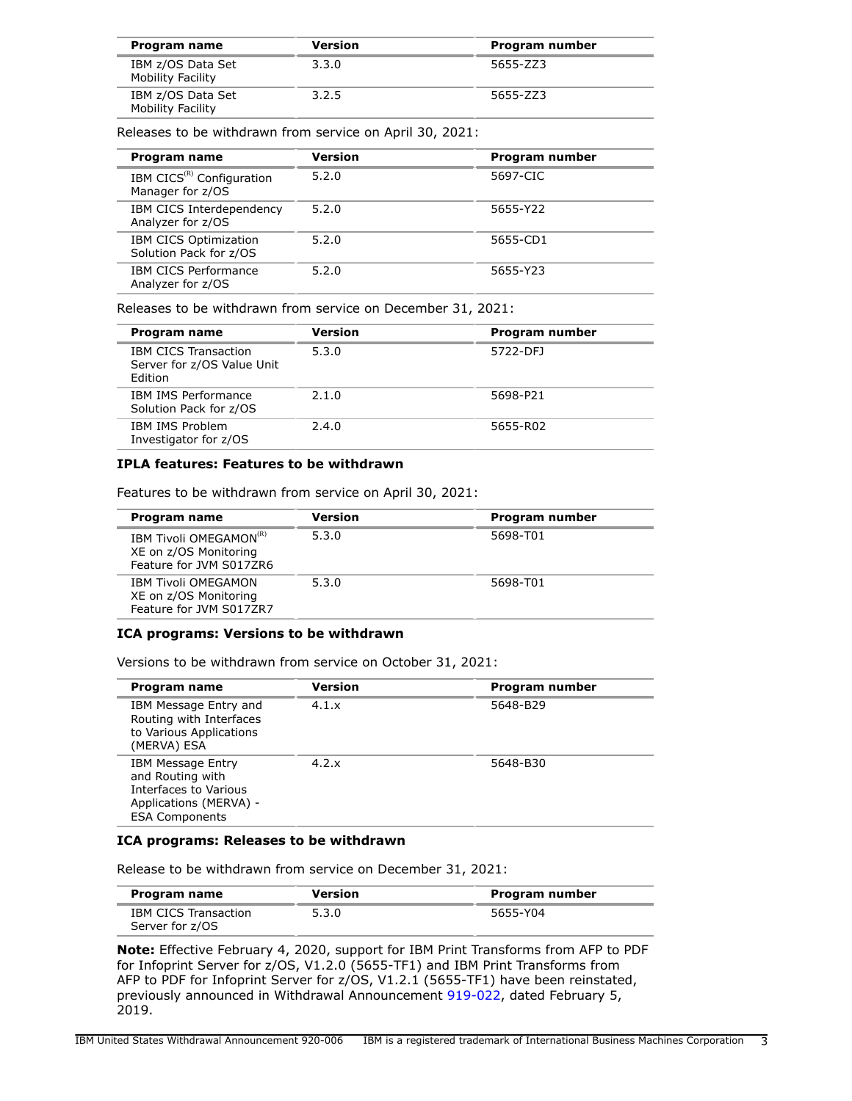| Program name                                  | <b>Version</b> | Program number |
|-----------------------------------------------|----------------|----------------|
| IBM z/OS Data Set<br>Mobility Facility        | 3.3.0          | 5655-ZZ3       |
| IBM z/OS Data Set<br><b>Mobility Facility</b> | 3.2.5          | 5655-ZZ3       |

Releases to be withdrawn from service on April 30, 2021:

| Program name                                              | Version | Program number |
|-----------------------------------------------------------|---------|----------------|
| IBM CICS <sup>(R)</sup> Configuration<br>Manager for z/OS | 5.2.0   | 5697-CIC       |
| IBM CICS Interdependency<br>Analyzer for z/OS             | 5.2.0   | 5655-Y22       |
| IBM CICS Optimization<br>Solution Pack for z/OS           | 5.2.0   | 5655-CD1       |
| <b>IBM CICS Performance</b><br>Analyzer for z/OS          | 5.2.0   | 5655-Y23       |

Releases to be withdrawn from service on December 31, 2021:

| Program name                                                         | Version | Program number |
|----------------------------------------------------------------------|---------|----------------|
| <b>IBM CICS Transaction</b><br>Server for z/OS Value Unit<br>Edition | 5.3.0   | 5722-DF1       |
| <b>IBM IMS Performance</b><br>Solution Pack for z/OS                 | 2.1.0   | 5698-P21       |
| IBM IMS Problem<br>Investigator for z/OS                             | 2.4.0   | 5655-R02       |

# **IPLA features: Features to be withdrawn**

Features to be withdrawn from service on April 30, 2021:

| Program name                                                                                 | Version | Program number |
|----------------------------------------------------------------------------------------------|---------|----------------|
| <b>IBM Tivoli OMEGAMON<sup>(R)</sup></b><br>XE on z/OS Monitoring<br>Feature for JVM S017ZR6 | 5.3.0   | 5698-T01       |
| <b>IBM Tivoli OMEGAMON</b><br>XE on z/OS Monitoring<br>Feature for JVM S017ZR7               | 5.3.0   | 5698-T01       |

# **ICA programs: Versions to be withdrawn**

Versions to be withdrawn from service on October 31, 2021:

| Program name                                                                                                             | Version | Program number |
|--------------------------------------------------------------------------------------------------------------------------|---------|----------------|
| IBM Message Entry and<br>Routing with Interfaces<br>to Various Applications<br>(MERVA) ESA                               | 4.1.x   | 5648-B29       |
| <b>IBM Message Entry</b><br>and Routing with<br>Interfaces to Various<br>Applications (MERVA) -<br><b>ESA Components</b> | 4.2.x   | 5648-B30       |

# **ICA programs: Releases to be withdrawn**

Release to be withdrawn from service on December 31, 2021:

| Program name                                   | Version | Program number |
|------------------------------------------------|---------|----------------|
| <b>IBM CICS Transaction</b><br>Server for z/OS | 5.3.0   | 5655-Y04       |

**Note:** Effective February 4, 2020, support for IBM Print Transforms from AFP to PDF for Infoprint Server for z/OS, V1.2.0 (5655-TF1) and IBM Print Transforms from AFP to PDF for Infoprint Server for z/OS, V1.2.1 (5655-TF1) have been reinstated, previously announced in Withdrawal Announcement [919-022,](http://www.ibm.com/common/ssi/cgi-bin/ssialias?infotype=an&subtype=ca&appname=gpateam&supplier=897&letternum=ENUS919-022) dated February 5, 2019.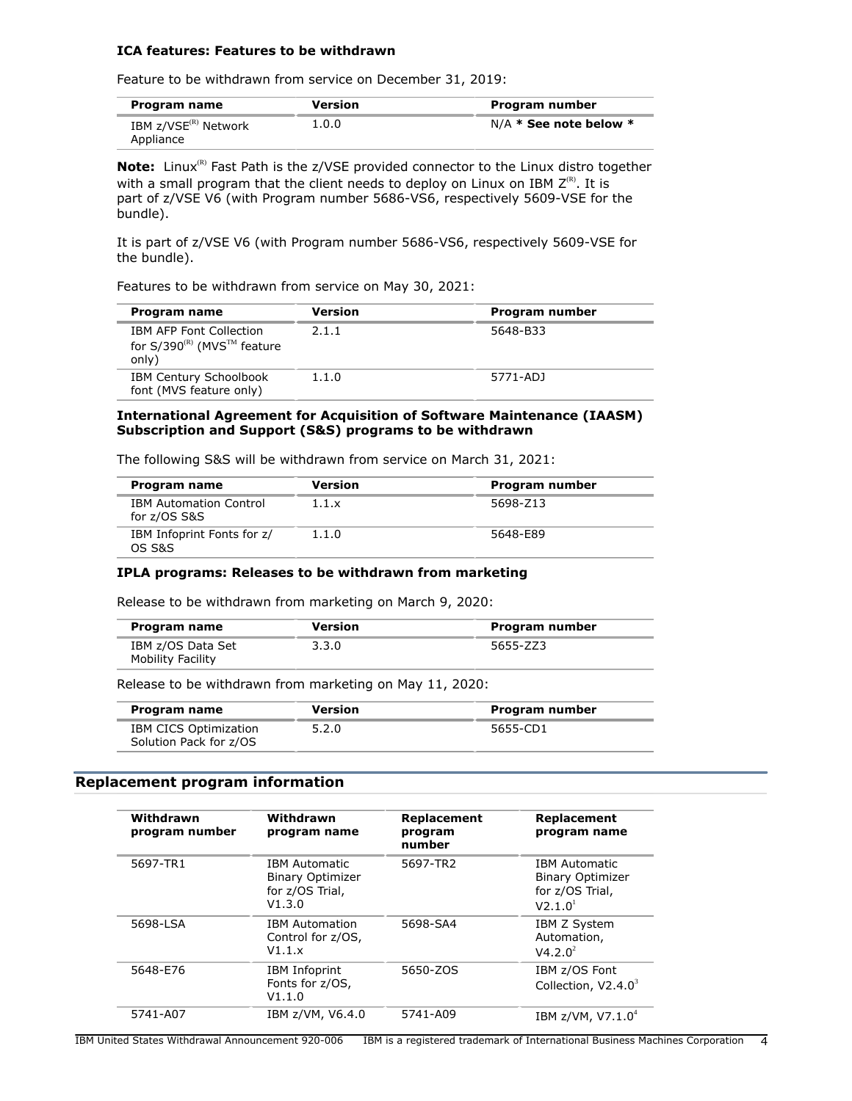## **ICA features: Features to be withdrawn**

Feature to be withdrawn from service on December 31, 2019:

| Program name                     | Version | Program number             |
|----------------------------------|---------|----------------------------|
| IBM z/VSE <sup>(R)</sup> Network | 1.0.0   | $N/A *$ See note below $*$ |
| Appliance                        |         |                            |

**Note:** Linux<sup>(R)</sup> Fast Path is the z/VSE provided connector to the Linux distro together with a small program that the client needs to deploy on Linux on IBM  $Z^{(R)}$ . It is part of z/VSE V6 (with Program number 5686-VS6, respectively 5609-VSE for the bundle).

It is part of z/VSE V6 (with Program number 5686-VS6, respectively 5609-VSE for the bundle).

Features to be withdrawn from service on May 30, 2021:

| Program name                                                                            | <b>Version</b> | Program number |
|-----------------------------------------------------------------------------------------|----------------|----------------|
| <b>IBM AFP Font Collection</b><br>for $S/390^{(R)}$ (MVS <sup>TM</sup> feature<br>only) | 2.1.1          | 5648-B33       |
| <b>IBM Century Schoolbook</b><br>font (MVS feature only)                                | 1.1.0          | 5771-ADJ       |

## **International Agreement for Acquisition of Software Maintenance (IAASM) Subscription and Support (S&S) programs to be withdrawn**

| Program name                                  | <b>Version</b> | Program number |  |
|-----------------------------------------------|----------------|----------------|--|
| <b>IBM Automation Control</b><br>for z/OS S&S | 1.1.x          | 5698-Z13       |  |
| IBM Infoprint Fonts for z/                    | 1.1.0          | 5648-E89       |  |

The following S&S will be withdrawn from service on March 31, 2021:

## **IPLA programs: Releases to be withdrawn from marketing**

Release to be withdrawn from marketing on March 9, 2020:

| Program name                                  | Version | Program number |
|-----------------------------------------------|---------|----------------|
| IBM z/OS Data Set<br><b>Mobility Facility</b> | 3.3.0   | 5655-ZZ3       |

Release to be withdrawn from marketing on May 11, 2020:

| Program name           | Version | Program number |
|------------------------|---------|----------------|
| IBM CICS Optimization  | 5.2.0   | 5655-CD1       |
| Solution Pack for z/OS |         |                |

# <span id="page-3-0"></span>**Replacement program information**

OS S&S

| Withdrawn<br>program number | Withdrawn<br>program name                                                    | Replacement<br>program<br>number | Replacement<br>program name                                                               |
|-----------------------------|------------------------------------------------------------------------------|----------------------------------|-------------------------------------------------------------------------------------------|
| 5697-TR1                    | <b>IBM Automatic</b><br><b>Binary Optimizer</b><br>for z/OS Trial,<br>V1.3.0 | 5697-TR2                         | <b>IBM Automatic</b><br><b>Binary Optimizer</b><br>for z/OS Trial,<br>V2.1.0 <sup>1</sup> |
| 5698-LSA                    | <b>IBM Automation</b><br>Control for z/OS,<br>V1.1.x                         | 5698-SA4                         | <b>IBM Z System</b><br>Automation,<br>V4.2.0 <sup>2</sup>                                 |
| 5648-E76                    | <b>IBM Infoprint</b><br>Fonts for z/OS,<br>V1.1.0                            | 5650-ZOS                         | IBM z/OS Font<br>Collection, $V2.4.0^3$                                                   |
| 5741-A07                    | IBM z/VM, V6.4.0                                                             | 5741-A09                         | IBM $z$ /VM, V7.1.0 <sup>4</sup>                                                          |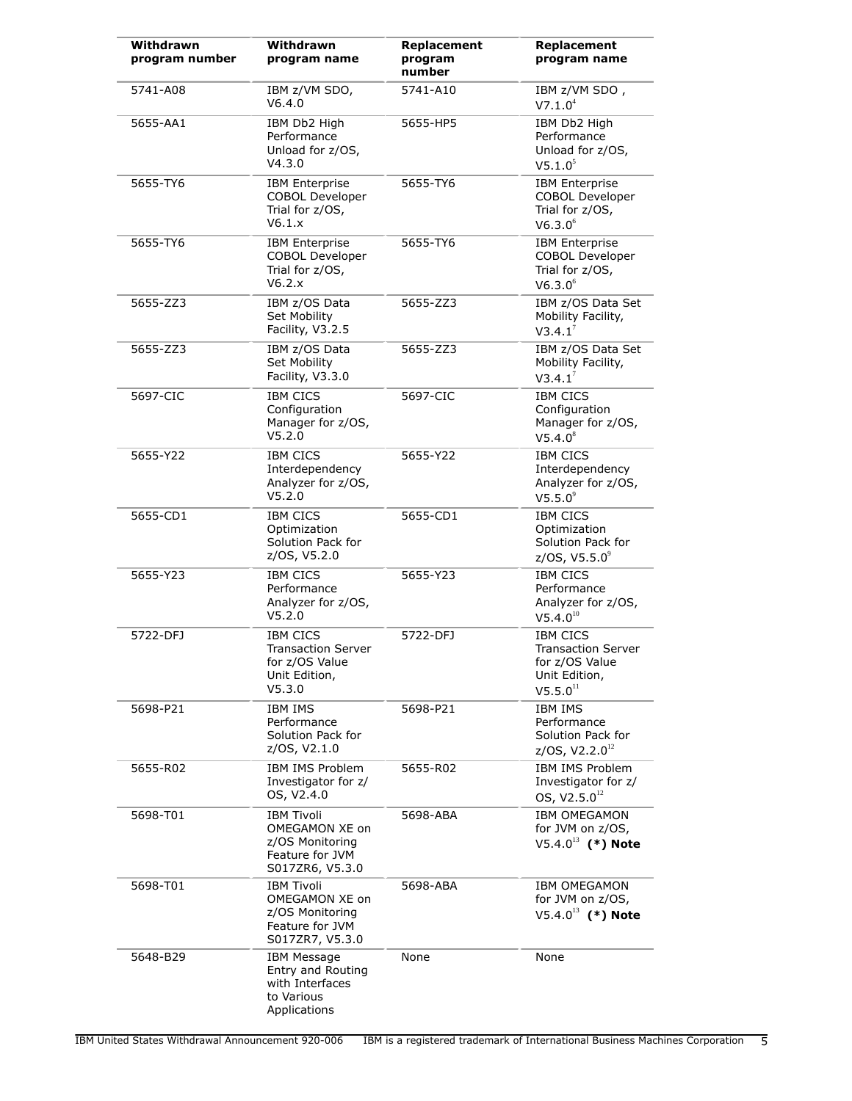| Withdrawn<br>program number | Withdrawn<br>program name                                                                    | Replacement<br>program<br>number | Replacement<br>program name                                                                      |
|-----------------------------|----------------------------------------------------------------------------------------------|----------------------------------|--------------------------------------------------------------------------------------------------|
| 5741-A08                    | IBM z/VM SDO,<br>V6.4.0                                                                      | 5741-A10                         | IBM z/VM SDO,<br>V7.1.0 <sup>4</sup>                                                             |
| 5655-AA1                    | IBM Db2 High<br>Performance<br>Unload for z/OS,<br>V4.3.0                                    | 5655-HP5                         | IBM Db2 High<br>Performance<br>Unload for z/OS,<br>V5.1.0 <sup>5</sup>                           |
| 5655-TY6                    | <b>IBM Enterprise</b><br>COBOL Developer<br>Trial for z/OS,<br>V6.1.x                        | 5655-TY6                         | <b>IBM Enterprise</b><br><b>COBOL Developer</b><br>Trial for z/OS,<br>V6.3.0 <sup>6</sup>        |
| 5655-TY6                    | <b>IBM</b> Enterprise<br>COBOL Developer<br>Trial for z/OS,<br>V6.2.x                        | 5655-TY6                         | <b>IBM Enterprise</b><br><b>COBOL Developer</b><br>Trial for z/OS,<br>V6.3.0 <sup>6</sup>        |
| 5655-ZZ3                    | IBM z/OS Data<br>Set Mobility<br>Facility, V3.2.5                                            | 5655-ZZ3                         | IBM z/OS Data Set<br>Mobility Facility,<br>V3.4.1 <sup>7</sup>                                   |
| 5655-ZZ3                    | IBM z/OS Data<br>Set Mobility<br>Facility, V3.3.0                                            | 5655-ZZ3                         | IBM z/OS Data Set<br>Mobility Facility,<br>V3.4.1 <sup>7</sup>                                   |
| 5697-CIC                    | <b>IBM CICS</b><br>Configuration<br>Manager for z/OS,<br>V5.2.0                              | 5697-CIC                         | <b>IBM CICS</b><br>Configuration<br>Manager for z/OS,<br>V5.4.0 <sup>8</sup>                     |
| 5655-Y22                    | <b>IBM CICS</b><br>Interdependency<br>Analyzer for z/OS,<br>V5.2.0                           | 5655-Y22                         | <b>IBM CICS</b><br>Interdependency<br>Analyzer for z/OS,<br>$V5.5.0^9$                           |
| 5655-CD1                    | <b>IBM CICS</b><br>Optimization<br>Solution Pack for<br>z/OS, V5.2.0                         | 5655-CD1                         | <b>IBM CICS</b><br>Optimization<br>Solution Pack for<br>$z/OS$ , V5.5.0 $^{\circ}$               |
| 5655-Y23                    | <b>IBM CICS</b><br>Performance<br>Analyzer for z/OS,<br>V5.2.0                               | 5655-Y23                         | <b>IBM CICS</b><br>Performance<br>Analyzer for z/OS,<br>$V5.4.0^{10}$                            |
| 5722-DFJ                    | <b>IBM CICS</b><br><b>Transaction Server</b><br>for z/OS Value<br>Unit Edition,<br>V5.3.0    | 5722-DFJ                         | <b>IBM CICS</b><br><b>Transaction Server</b><br>for z/OS Value<br>Unit Edition,<br>$V5.5.0^{11}$ |
| 5698-P21                    | <b>IBM IMS</b><br>Performance<br>Solution Pack for<br>z/OS, V2.1.0                           | 5698-P21                         | <b>IBM IMS</b><br>Performance<br>Solution Pack for<br>$z/OS$ , V2.2.0 <sup>12</sup>              |
| 5655-R02                    | IBM IMS Problem<br>Investigator for z/<br>OS, V2.4.0                                         | 5655-R02                         | IBM IMS Problem<br>Investigator for z/<br>OS, $V2.5.0^{12}$                                      |
| 5698-T01                    | <b>IBM Tivoli</b><br>OMEGAMON XE on<br>z/OS Monitoring<br>Feature for JVM<br>S017ZR6, V5.3.0 | 5698-ABA                         | <b>IBM OMEGAMON</b><br>for JVM on z/OS,<br>$V5.4.0^{13}$ (*) Note                                |
| 5698-T01                    | <b>IBM Tivoli</b><br>OMEGAMON XE on<br>z/OS Monitoring<br>Feature for JVM<br>S017ZR7, V5.3.0 | 5698-ABA                         | <b>IBM OMEGAMON</b><br>for JVM on z/OS,<br>$V5.4.0^{13}$ (*) Note                                |
| 5648-B29                    | <b>IBM Message</b><br>Entry and Routing<br>with Interfaces<br>to Various<br>Applications     | None                             | None                                                                                             |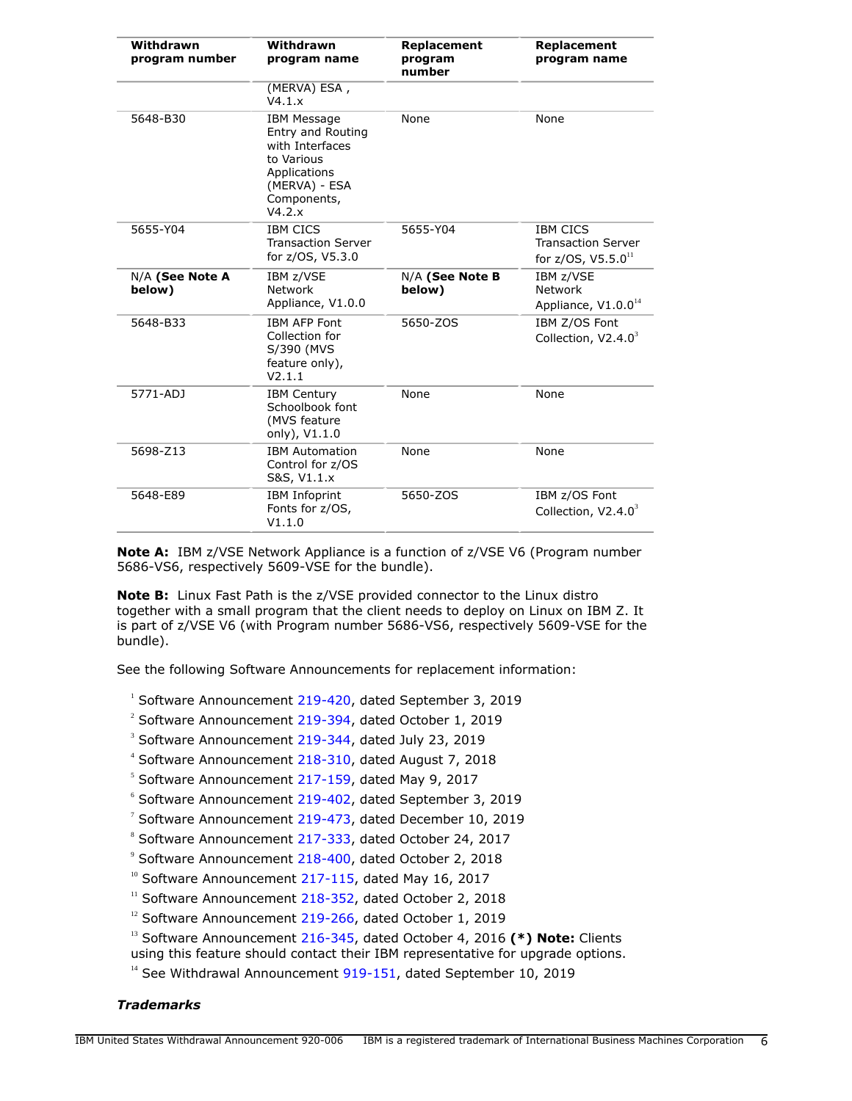| Withdrawn<br>program number | Withdrawn<br>program name                                                                                                          | Replacement<br>program<br>number | Replacement<br>program name                                                |
|-----------------------------|------------------------------------------------------------------------------------------------------------------------------------|----------------------------------|----------------------------------------------------------------------------|
|                             | (MERVA) ESA,<br>V4.1.x                                                                                                             |                                  |                                                                            |
| 5648-B30                    | <b>IBM Message</b><br>Entry and Routing<br>with Interfaces<br>to Various<br>Applications<br>(MERVA) - ESA<br>Components,<br>V4.2.x | None                             | None                                                                       |
| 5655-Y04                    | <b>IBM CICS</b><br><b>Transaction Server</b><br>for z/OS, V5.3.0                                                                   | 5655-Y04                         | <b>IBM CICS</b><br><b>Transaction Server</b><br>for $z/OS$ , $V5.5.0^{11}$ |
| N/A (See Note A<br>below)   | IBM z/VSE<br>Network<br>Appliance, V1.0.0                                                                                          | N/A (See Note B<br>below)        | IBM z/VSE<br>Network<br>Appliance, V1.0.0 <sup>14</sup>                    |
| 5648-B33                    | <b>IBM AFP Font</b><br>Collection for<br>S/390 (MVS<br>feature only),<br>V2.1.1                                                    | 5650-ZOS                         | IBM Z/OS Font<br>Collection, $V2.4.0^3$                                    |
| 5771-ADJ                    | <b>IBM Century</b><br>Schoolbook font<br>(MVS feature<br>only), V1.1.0                                                             | None                             | None                                                                       |
| 5698-Z13                    | <b>IBM Automation</b><br>Control for z/OS<br>S&S, V1.1.x                                                                           | None                             | None                                                                       |
| 5648-E89                    | <b>IBM Infoprint</b><br>Fonts for z/OS,<br>V1.1.0                                                                                  | 5650-ZOS                         | IBM z/OS Font<br>Collection, $V2.4.03$                                     |

**Note A:** IBM z/VSE Network Appliance is a function of z/VSE V6 (Program number 5686-VS6, respectively 5609-VSE for the bundle).

**Note B:** Linux Fast Path is the z/VSE provided connector to the Linux distro together with a small program that the client needs to deploy on Linux on IBM Z. It is part of z/VSE V6 (with Program number 5686-VS6, respectively 5609-VSE for the bundle).

See the following Software Announcements for replacement information:

<sup>1</sup> Software Announcement [219-420](http://www.ibm.com/common/ssi/cgi-bin/ssialias?infotype=an&subtype=ca&appname=gpateam&supplier=897&letternum=ENUS219-420), dated September 3, 2019

<sup>2</sup> Software Announcement [219-394](http://www.ibm.com/common/ssi/cgi-bin/ssialias?infotype=an&subtype=ca&appname=gpateam&supplier=897&letternum=ENUS219-394), dated October 1, 2019

<sup>3</sup> Software Announcement [219-344](http://www.ibm.com/common/ssi/cgi-bin/ssialias?infotype=an&subtype=ca&appname=gpateam&supplier=897&letternum=ENUS219-344), dated July 23, 2019

<sup>4</sup> Software Announcement [218-310](http://www.ibm.com/common/ssi/cgi-bin/ssialias?infotype=an&subtype=ca&appname=gpateam&supplier=897&letternum=ENUS218-310), dated August 7, 2018

 $5$  Software Announcement [217-159](http://www.ibm.com/common/ssi/cgi-bin/ssialias?infotype=an&subtype=ca&appname=gpateam&supplier=897&letternum=ENUS217-159), dated May 9, 2017

6 Software Announcement [219-402](http://www.ibm.com/common/ssi/cgi-bin/ssialias?infotype=an&subtype=ca&appname=gpateam&supplier=897&letternum=ENUS219-402), dated September 3, 2019

 $7$  Software Announcement [219-473](http://www.ibm.com/common/ssi/cgi-bin/ssialias?infotype=an&subtype=ca&appname=gpateam&supplier=897&letternum=ENUS219-473), dated December 10, 2019

<sup>8</sup> Software Announcement [217-333](http://www.ibm.com/common/ssi/cgi-bin/ssialias?infotype=an&subtype=ca&appname=gpateam&supplier=897&letternum=ENUS217-333), dated October 24, 2017

<sup>9</sup> Software Announcement [218-400](http://www.ibm.com/common/ssi/cgi-bin/ssialias?infotype=an&subtype=ca&appname=gpateam&supplier=897&letternum=ENUS218-400), dated October 2, 2018

 $10$  Software Announcement [217-115,](http://www.ibm.com/common/ssi/cgi-bin/ssialias?infotype=an&subtype=ca&appname=gpateam&supplier=897&letternum=ENUS217-115) dated May 16, 2017

 $11$  Software Announcement [218-352,](http://www.ibm.com/common/ssi/cgi-bin/ssialias?infotype=an&subtype=ca&appname=gpateam&supplier=897&letternum=ENUS218-352) dated October 2, 2018

 $12$  Software Announcement [219-266,](http://www.ibm.com/common/ssi/cgi-bin/ssialias?infotype=an&subtype=ca&appname=gpateam&supplier=897&letternum=ENUS219-266) dated October 1, 2019

<sup>13</sup> Software Announcement [216-345,](http://www.ibm.com/common/ssi/cgi-bin/ssialias?infotype=an&subtype=ca&appname=gpateam&supplier=897&letternum=ENUS216-345) dated October 4, 2016 (\*) Note: Clients

using this feature should contact their IBM representative for upgrade options.

<sup>14</sup> See Withdrawal Announcement [919-151,](http://www.ibm.com/common/ssi/cgi-bin/ssialias?infotype=an&subtype=ca&appname=gpateam&supplier=897&letternum=ENUS919-151) dated September 10, 2019

# *Trademarks*